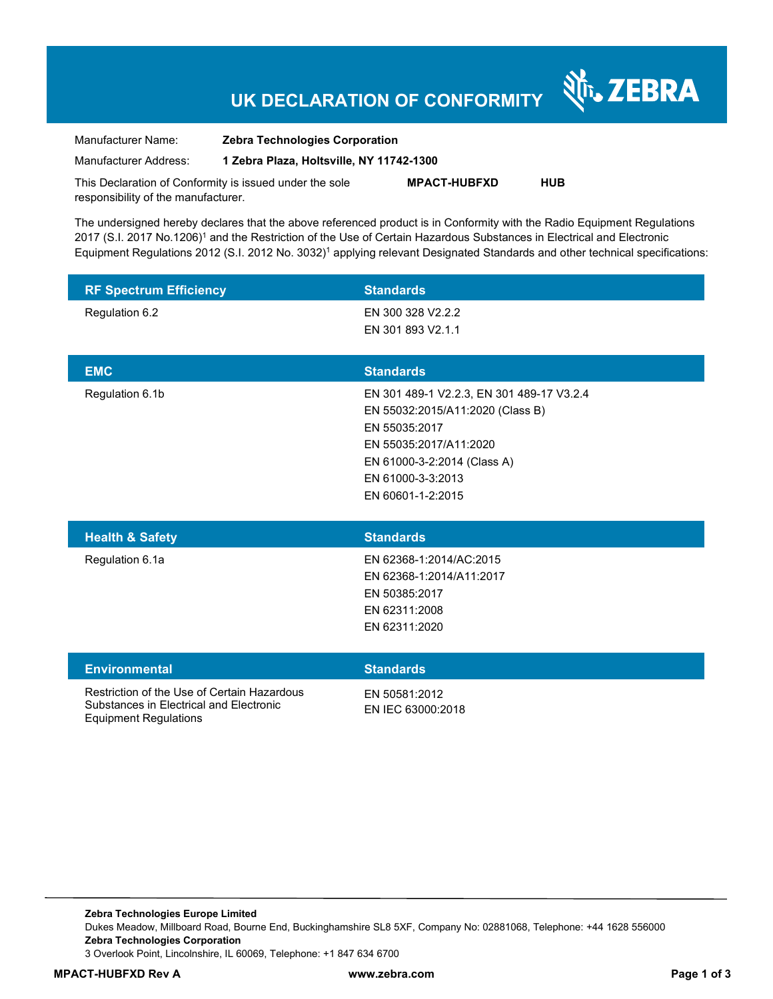### **UK DECLARATION OF CONFORMITY**

र्शे<sub>ं</sub> ZEBRA

Manufacturer Name: **Zebra Technologies Corporation**  Manufacturer Address: **1 Zebra Plaza, Holtsville, NY 11742-1300** 

This Declaration of Conformity is issued under the sole responsibility of the manufacturer. **MPACT-HUBFXD HUB** 

The undersigned hereby declares that the above referenced product is in Conformity with the Radio Equipment Regulations 2017 (S.I. 2017 No.1206)<sup>1</sup> and the Restriction of the Use of Certain Hazardous Substances in Electrical and Electronic Equipment Regulations 2012 (S.I. 2012 No. 3032)<sup>1</sup> applying relevant Designated Standards and other technical specifications:

| <b>RF Spectrum Efficiency</b>                                                                                          | <b>Standards</b>                                                                                                                                                                                  |
|------------------------------------------------------------------------------------------------------------------------|---------------------------------------------------------------------------------------------------------------------------------------------------------------------------------------------------|
| Regulation 6.2                                                                                                         | EN 300 328 V2.2.2<br>EN 301 893 V2.1.1                                                                                                                                                            |
| <b>EMC</b>                                                                                                             | <b>Standards</b>                                                                                                                                                                                  |
| Regulation 6.1b                                                                                                        | EN 301 489-1 V2.2.3, EN 301 489-17 V3.2.4<br>EN 55032:2015/A11:2020 (Class B)<br>EN 55035:2017<br>EN 55035:2017/A11:2020<br>EN 61000-3-2:2014 (Class A)<br>EN 61000-3-3:2013<br>EN 60601-1-2:2015 |
| <b>Health &amp; Safety</b>                                                                                             | <b>Standards</b>                                                                                                                                                                                  |
| Regulation 6.1a                                                                                                        | EN 62368-1:2014/AC:2015<br>EN 62368-1:2014/A11:2017<br>EN 50385:2017<br>EN 62311:2008<br>EN 62311:2020                                                                                            |
| <b>Environmental</b>                                                                                                   | <b>Standards</b>                                                                                                                                                                                  |
| Restriction of the Use of Certain Hazardous<br>Substances in Electrical and Electronic<br><b>Equipment Regulations</b> | EN 50581:2012<br>EN IEC 63000:2018                                                                                                                                                                |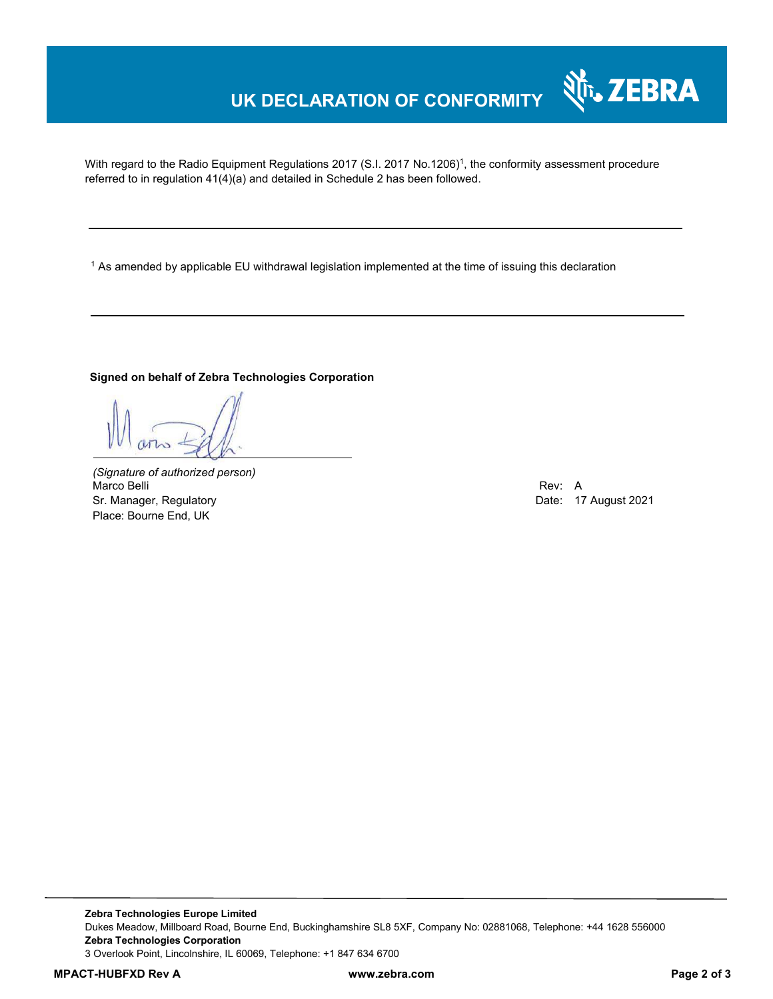# **UK DECLARATION OF CONFORMITY**

With regard to the Radio Equipment Regulations 2017 (S.I. 2017 No.1206)<sup>1</sup>, the conformity assessment procedure referred to in regulation 41(4)(a) and detailed in Schedule 2 has been followed.

1 As amended by applicable EU withdrawal legislation implemented at the time of issuing this declaration

#### **Signed on behalf of Zebra Technologies Corporation**

*(Signature of authorized person)* Marco Belli Rev: A Sr. Manager, Regulatory **Date: 17 August 2021** Place: Bourne End, UK

र्शे<sub>ि</sub>, ZEBRA